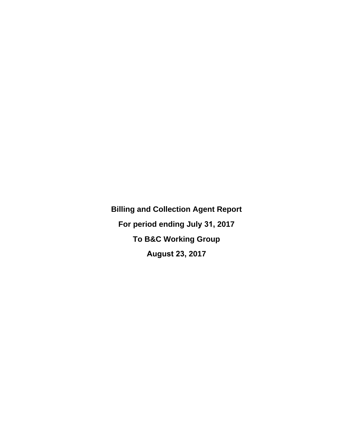**Billing and Collection Agent Report For period ending July 31, 2017 To B&C Working Group August 23, 2017**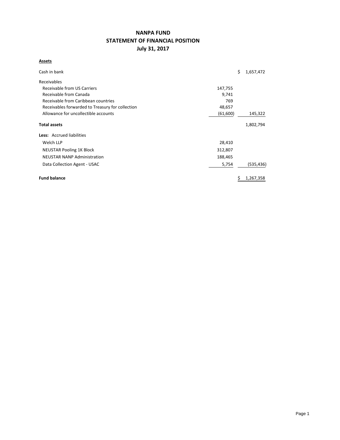# **NANPA FUND STATEMENT OF FINANCIAL POSITION July 31, 2017**

#### **Assets**

| Cash in bank                                     |           | Ś | 1,657,472 |
|--------------------------------------------------|-----------|---|-----------|
| Receivables                                      |           |   |           |
| Receivable from US Carriers                      | 147,755   |   |           |
| Receivable from Canada                           | 9,741     |   |           |
| Receivable from Caribbean countries              | 769       |   |           |
| Receivables forwarded to Treasury for collection | 48,657    |   |           |
| Allowance for uncollectible accounts             | (61, 600) |   | 145,322   |
| <b>Total assets</b>                              |           |   | 1,802,794 |
| Less: Accrued liabilities                        |           |   |           |
| Welch LLP                                        | 28,410    |   |           |
| <b>NEUSTAR Pooling 1K Block</b>                  | 312,807   |   |           |
| <b>NEUSTAR NANP Administration</b>               | 188,465   |   |           |
| Data Collection Agent - USAC                     | 5,754     |   | (535,436) |
| <b>Fund balance</b>                              |           | Ş | 1,267,358 |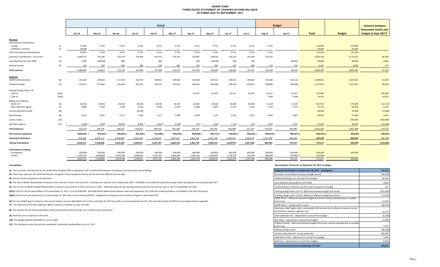#### **NANPA FUND FORECASTED STATEMENT OF CHANGES IN FUND BALANCE OCTOBER 2016 TO SEPTEMBER 2017**

|                                          |            |                  |                         |                         | Actual                   |                          |                          |                          |                          |                          |                          | <b>Budget</b>           |                |                   | <b>Variance between</b> |                        |
|------------------------------------------|------------|------------------|-------------------------|-------------------------|--------------------------|--------------------------|--------------------------|--------------------------|--------------------------|--------------------------|--------------------------|-------------------------|----------------|-------------------|-------------------------|------------------------|
|                                          |            |                  |                         |                         |                          |                          |                          |                          |                          |                          |                          |                         |                |                   |                         | forecasted results and |
|                                          |            | Oct-16           | <b>Nov-16</b>           | <b>Dec-16</b>           | $Jan-17$                 | <b>Feb-17</b>            | <b>Mar-17</b>            | Apr-17                   | May-17                   | <b>Jun-17</b>            | <b>Jul-17</b>            | Aug-17                  | $Sep-17$       | <b>Total</b>      | <b>Budget</b>           | budget at Sept 30/17   |
| Revenue                                  |            |                  |                         |                         |                          |                          |                          |                          |                          |                          |                          |                         |                |                   |                         |                        |
| <b>International Contributions</b>       |            |                  |                         |                         |                          |                          |                          |                          |                          |                          |                          |                         |                |                   |                         |                        |
| Canada<br>Caribbean countries            | (1)<br>(1) | 19,483<br>24,439 | 9,742<br><b>Section</b> | 9,741<br><b>Section</b> | 9,741<br><b>Contract</b> | 9,741<br><b>Contract</b> | 9,741<br><b>Contract</b> | 9,741<br><b>Contract</b> | 9,741<br><b>Contract</b> | 9,741<br><b>Contract</b> | 9,741<br><b>Contract</b> | 9,741<br><b>Section</b> | <b>Section</b> | 116,894<br>24,439 | 116,894<br>24,439       | $\sim$                 |
| <b>Total International Contributions</b> |            | 43,922           | 9,742                   | 9,741                   | 9,741                    | 9,741                    | 9,741                    | 9,741                    | 9,741                    | 9,741                    | 9,741                    | 9,741                   | $\sim$         | 141,333           | 141,333                 | $\sim$                 |
| Domestic Contributions - US carriers     | (1)        | 4,440,157        | 141,285                 | 142,274                 | 144,440                  | 147,472                  | 142,291                  | 136,967                  | 136,918                  | 118,119                  | 143,304                  | 142,291                 | $\sim$         | 5,835,518         | 5,775,123               | 60,395                 |
| Late filing fees for Form 499A           | (2)        | 2,300            | (800.00)                | 800                     | $\sim$                   | 400                      | $\sim$                   | 400                      | (100.00)                 | 900                      | 700                      | $\sim$                  | 80,000         | 84,600            | 80,000                  | 4,600                  |
| Interest income                          | (3)        | 470              | 587                     | 904                     | 388                      | 295                      | 481                      | 342                      | 259                      | 203                      | 386                      | 416                     | 416            | 5,147             | 5,000                   | 147                    |
| <b>Total revenue</b>                     |            | 4,486,849        | 150,814                 | 153,719                 | 154,569                  | 157,908                  | 152,513                  | 147,450                  | 146,818                  | 128,963                  | 154,131                  | 152,448                 | 80,416         | 6,066,598         | 6,001,456               | 65,142                 |
|                                          |            |                  |                         |                         |                          |                          |                          |                          |                          |                          |                          |                         |                |                   |                         |                        |
| <b>Expenses</b><br>NANPA Administration  | (4)        | 241,963          | 209,832                 | 212,034                 | 210,753                  | 209,832                  | 209,832                  | 191,884                  | 187,332                  | 190,353                  | 188,464                  | 195,560                 | 202,122        | 2,449,961         | 2,425,461               | 24,500                 |
| 1K Block Pooling                         | (5)        | 353,567          | 257,865                 | 255,403                 | 255,291                  | 256,157                  | 255,641                  | 266,361                  | 262,488                  | 258,434                  | 258,641                  | 258,989                 | 258,988        | 3,197,825         | 3,107,867               | 89,958                 |
| Pooling Change Order 3 B                 |            |                  |                         |                         |                          |                          |                          |                          |                          |                          |                          |                         |                |                   |                         |                        |
| - CLIN 15                                | (5)(a)     | $\sim$           |                         |                         |                          |                          |                          | 54,167                   | 54,167                   | 54,167                   | 54,167                   | 54,167                  | 54,167         | 325,000           |                         | 325,000                |
| CLIN 16                                  | (5)(b)     | $\sim$           |                         |                         |                          |                          |                          | $\sim$                   | $\sim$                   | $\sim$                   | $\sim$ $-$               | 7,268                   | 7,268          | 14,535            |                         | 14,535                 |
| <b>Billing and Collection</b>            |            |                  |                         |                         |                          |                          |                          |                          |                          |                          |                          |                         |                |                   |                         |                        |
| Welch LLP                                | (6)        | 28,336           | 28,336                  | 28,336                  | 28,336                   | 28,336                   | 28,336                   | 28,336                   | 28,336                   | 34,405                   | 28,484                   | 31,169                  | 31,169         | 351,915           | 374,028                 | (22, 113)              |
| Data Collection Agent                    | (7)        | 5,806            | 5,328                   | 7,508                   | 8,162                    | 5,930                    | 5,497                    | 6,398                    | 6,381                    | 6,297                    | 6,355                    | 5,754                   | 5,754          | 75,170            | 69,950                  | 5,220                  |
| <b>Annual Operations Audit</b>           | (8)        | $\sim$           | $\sim$                  | $\sim$                  | 46,000                   | <b>Service</b>           | $\sim$                   | $\sim$                   | $\sim$                   | $\sim$                   | $\sim$                   |                         |                | 46,000            | 47,000                  | (1,000)                |
| <b>Bank Charges</b>                      | (9)        | 4,132            | 6,031                   | 5,171                   | 3,185                    | 3,111                    | 2,480                    | 2,429                    | 2,122                    | 2,102                    | 2,072                    | 3,083                   | 3,083          | 39,001            | 37,000                  | 2,001                  |
| Carrier Audits                           | (10)       | $\sim 10^{-1}$   | $\sim$ $-$              | $\sim$                  | $\sim$                   | $\sim 10^{-1}$           | $\sim$                   | $\sim$                   | $\sim$                   | $\sim$                   | $\sim$                   | <b>Section</b>          |                | $\sim$            | 300,000                 | (300,000)              |
| Bad debt expense                         | (11)       | 5,648)           | 3,287                   | 29,958                  | 8,096                    | 3,810)                   | 6,600                    | 739 (                    | 1,291)                   | 1,240                    | 431)                     | 3,333                   | 3,333          | 25,632            | 40,000                  | (14, 368)              |
| <b>Total expenses</b>                    |            | 628,156          | 504,105                 | 538,410                 | 559,823                  | 499,556                  | 495,186                  | 550,314                  | 539,535                  | 546,998                  | 537,752                  | 559,322                 | 565,883        | 6,525,039         | 6,401,306               | 123,733                |
| Net revenue (expenses)                   |            | 3,858,693        | 353,291)                | 384,691)                | 405,254) (               | 341,648)                 | 342,673)                 | 402,864) (               | 392,717) (               | 418,035)                 | 383,621)                 | 406,874) (              | 485,467)       | 458,441) (        | 399,850)                | (58, 591)              |
| <b>Opening fund balance</b>              |            | 833,458          | 4,692,151               | 4,338,860               | 3,954,169                | 3,548,915                | 3,207,267                | 2,864,594                | 2,461,730                | 2,069,014                | 1,650,979                | 1,267,358               | 860,484        | 833,458           | 899,850                 | (66, 392)              |
| <b>Closing fund balance</b>              |            | 4,692,151        | 4,338,860               | 3,954,169               | 3,548,915                | 3,207,267                | 2,864,594                | 2,461,730                | 2,069,014                | 1,650,979                | 1,267,358                | 860,484                 | 375,017        | 375,017           | 500,000                 | (124, 983)             |
| Fund balance makeup:                     |            |                  |                         |                         |                          |                          |                          |                          |                          |                          |                          |                         |                |                   |                         |                        |
| Contingency                              |            | 500,000          | 500,000                 | 500,000                 | 500,000                  | 500,000                  | 500,000                  | 500,000                  | 500,000                  | 500,000                  | 500,000                  | 500,000                 | 500,000        | 500,000           | 500,000                 |                        |
| Surplus                                  |            | 4,192,151        | 3.838.860               | 3.454.169               | 3,048,915                | 2.707.267                | 2.364.594                | 1.961.730                | 1.569.014                | 1,150,979                | 767.358                  | 360.484                 | 124,983        | 124,983)          |                         |                        |

4,692,151 4,338,860 3,954,169 3,548,915 3,207,267 2,864,594 2,461,730 2,069,014 1,650,979 1,267,358 860,484 375,017 375,017 500,000

**(1)** The US carrier contributions for the period from October 2016 to September 2017 and the International contributions are based upon actual billings.

(2) These fees represent the \$100 late filing fee charged to those companies that do not file the Form 499A by the due date.

**(3)** Interest income projections are estimates

(4) The cost of NANP administration is based on the contract in force until June 2017. Estimates are used for July to September 2017. \$130,000 is also added for potential change orders anticipated to be issued by Sep 2017.

(5) The cost for 1K Block Pooling Administration is based on the contract in force until July 14, 2017. Estimates based on the existing contract amounts are used for July 15, 2017 to September 30, 2017.

(5)(a) CLIN 15 is for the period March 22 to November 22, 2017 a cost of \$748,500. \$325,000 will be billed evenly between April and September 2017 with the remaining balance to be billed in the 2017/18 period.

(5)(b) CLIN 16 is for the period July 31 to Noveember 24, 2017 and is not to exceed \$29,070. Budgeted for evenly over the months of August to November 2017

**(7)** The expense for the Data Collection Agent is based on estimate of costs by USAC. (6) The cost of B&C Agent is based on the current interim contract with Welch LLP in force until April 30, 2017 plus 10% as recommended by the FCC. The June fee includes \$5,995 for accounting software upgrades.

**(8)** The expense for the annual operations audit performed by Ernst & Young LLP is based on the quote given.

**(9)** Bank fees are an expense to the Fund.

**(10)** The budget allowed \$300,000 for carrier audits.

**(11)** The allowance covers all accounts considered potentially uncollectible at July 31, 2017.

#### **Assumptions: Reconciliation of forecast at September 30, 2017 to budget**

| Budgeted fund balance at September 30, 2017 - contingency                                                | 500,000   |
|----------------------------------------------------------------------------------------------------------|-----------|
| Decrease in fund balance between budget period                                                           | (66, 392) |
| Additional billings over estimate from budget                                                            | 60.395    |
| Late filing fees (reversal) for Form 499A                                                                | 4.600     |
| Underestimate of interest earned to date compared to budget                                              | 147       |
| Pooling change order CLIN 15 -difference between budget and actual                                       | (325,000) |
| Pooling change order CLIN 16 -difference between budget and actual                                       | (14, 535) |
| NANP Admin - difference between budget and actual contract awarded due to variable<br>travel costs       | 11,947    |
| NANP Admin - change orders issued                                                                        | (36, 447) |
| Decrease in B&C Agent costs - aniticipated 10% increase not in effect as contract not yet                |           |
| renewed less software upgrade costs                                                                      | 22,113    |
| Data Collection fees - Adjustment to actual from budget                                                  | (5, 220)  |
| Bad debts - Adjustment to actual from budget                                                             | 14,368    |
| IK Block Pooling - difference between budget and actual contract awarded due to variable<br>travel costs | 5,242     |
| Pooling change orders                                                                                    | (95, 200) |
| Carrier audits that will not be performed                                                                | 300,000   |
| Operations Audit - Adjustment to actual from budget                                                      | 1.000     |
| Bank fees - Adjustment to actual from budget                                                             | (2,001)   |
| Forecasted fund balance at September 30, 2017                                                            | 375.017   |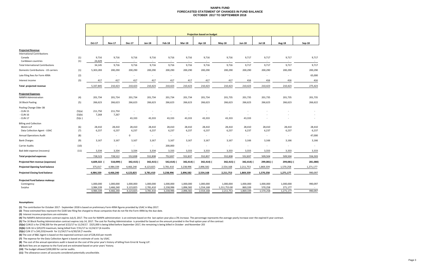#### **NANPA FUNDFORECASTED STATEMENT OF CHANGES IN FUND BALANCE OCTOBER 2017 TO SEPTEMBER 2018**

| <b>Projection based on budget</b><br>Oct-17<br><b>Nov-17</b><br><b>Dec-17</b><br>Jan-18<br><b>Feb-18</b><br>Mar-18<br>Apr-18<br>$May-18$<br><b>Jun-18</b><br><b>Jul-18</b><br><b>Aug-18</b><br><b>Projected Revenue</b><br><b>International Contributions</b><br>(1)<br>9,716<br>9,716<br>9,717<br>9,716<br>9,716<br>9,716<br>9,716<br>9,716<br>9,716<br>9,717<br>Canada<br>(1)<br>24,429<br>Caribbean countries<br>$\sim$<br>$\sim$<br>$\sim$<br>$\sim$<br>$\sim$<br>$\overline{\phantom{a}}$<br>$\sim$<br>$\sim$<br>$\sim$<br><b>Total International Contributions</b><br>34,145<br>9,716<br>9,716<br>9,716<br>9,716<br>9,716<br>9,716<br>9,717<br>9,717<br>9,716<br>(1)<br>Domestic Contributions - US carriers<br>5,303,283<br>200,290<br>200,290<br>200,290<br>200,290<br>200,290<br>200,290<br>200,290<br>200,290<br>200,290<br>200,290 | Sep-18<br>9,717<br>9,717<br>$\sim$<br>$\overline{\phantom{a}}$<br>9,717<br>9,717<br>200,290 |
|-----------------------------------------------------------------------------------------------------------------------------------------------------------------------------------------------------------------------------------------------------------------------------------------------------------------------------------------------------------------------------------------------------------------------------------------------------------------------------------------------------------------------------------------------------------------------------------------------------------------------------------------------------------------------------------------------------------------------------------------------------------------------------------------------------------------------------------------------|---------------------------------------------------------------------------------------------|
|                                                                                                                                                                                                                                                                                                                                                                                                                                                                                                                                                                                                                                                                                                                                                                                                                                               |                                                                                             |
|                                                                                                                                                                                                                                                                                                                                                                                                                                                                                                                                                                                                                                                                                                                                                                                                                                               |                                                                                             |
|                                                                                                                                                                                                                                                                                                                                                                                                                                                                                                                                                                                                                                                                                                                                                                                                                                               |                                                                                             |
|                                                                                                                                                                                                                                                                                                                                                                                                                                                                                                                                                                                                                                                                                                                                                                                                                                               |                                                                                             |
|                                                                                                                                                                                                                                                                                                                                                                                                                                                                                                                                                                                                                                                                                                                                                                                                                                               |                                                                                             |
|                                                                                                                                                                                                                                                                                                                                                                                                                                                                                                                                                                                                                                                                                                                                                                                                                                               |                                                                                             |
| (2)<br>Late filing fees for Form 499A<br>$\overline{\phantom{a}}$<br>$\epsilon$<br>$\sim$<br>$\overline{\phantom{a}}$<br>$\sim$<br>$\sim$<br>$\sim$<br>$\sim$<br>$\sim$<br>$\sim$<br>$\sim$                                                                                                                                                                                                                                                                                                                                                                                                                                                                                                                                                                                                                                                   | 65,000                                                                                      |
| (3)<br>417<br>417<br>417<br>Interest income<br>417<br>417<br>417<br>417<br>417<br>416<br>416                                                                                                                                                                                                                                                                                                                                                                                                                                                                                                                                                                                                                                                                                                                                                  | 416<br>416                                                                                  |
| Total projected revenue<br>210,423<br>210,423<br>210,423<br>210,423<br>210,423<br>210,423<br>210,423<br>210,423<br>210,423<br>210,423<br>5,337,845                                                                                                                                                                                                                                                                                                                                                                                                                                                                                                                                                                                                                                                                                            | 275,423                                                                                     |
| <b>Projected Expenses</b><br><b>NANPA Administration</b><br>(4)<br>201,734<br>201,734<br>201,734<br>201,734<br>201,734<br>201,734<br>201,734<br>201,735<br>201,735<br>201,735<br>201,735                                                                                                                                                                                                                                                                                                                                                                                                                                                                                                                                                                                                                                                      | 201,735                                                                                     |
| 266,623<br>(5)<br>266,623<br>266,623<br>266,623<br>266,623<br>266,623<br>266,623<br>266,623<br>266,623<br>266,623<br>266,623<br>1K Block Pooling                                                                                                                                                                                                                                                                                                                                                                                                                                                                                                                                                                                                                                                                                              | 266,622                                                                                     |
| Pooling Change Oder 3B<br>- CLIN 15<br>(5)(a)<br>211,750<br>211,750<br>$\overline{\phantom{a}}$<br>٠<br>$\sim$<br>. .                                                                                                                                                                                                                                                                                                                                                                                                                                                                                                                                                                                                                                                                                                                         |                                                                                             |
| - CLIN 16<br>(5)(b)<br>7,268<br>7,267<br>$\sim$<br>$\overline{\phantom{a}}$<br>$\epsilon$<br>$\sim$<br>$\sim$<br>$\sim$<br>$\sim$                                                                                                                                                                                                                                                                                                                                                                                                                                                                                                                                                                                                                                                                                                             | $\overline{\phantom{a}}$                                                                    |
| - CLIN 17<br>(5)(c)<br>43,333<br>43,333<br>43,333<br>43,333<br>43,333<br>43,333<br>43,333<br>$\sim$<br>$\sim$                                                                                                                                                                                                                                                                                                                                                                                                                                                                                                                                                                                                                                                                                                                                 | $\overline{\phantom{a}}$                                                                    |
| <b>Billing and Collection</b><br>(6)<br>Welch LLP<br>28,410<br>28,410<br>28,410<br>28,410<br>28,410<br>28,410<br>28,410<br>28,410<br>28,410<br>28,410<br>28,410<br>(7)<br>6,237<br>6,237<br>6,237<br>6,237<br>6,237<br>6,237<br>6,237<br>6,237<br>6,237<br>Data Collection Agent - USAC<br>6,237                                                                                                                                                                                                                                                                                                                                                                                                                                                                                                                                              | 28,410<br>6,237<br>6,237                                                                    |
| (8)<br>$\mathbf 0$<br><b>Annual Operations Audit</b><br>$\sim$<br>$\sim$<br>$\sim$<br>$\sim$<br>$\sim$<br>$\sim$<br>$\sim$<br>$\sim$<br>$\sim$                                                                                                                                                                                                                                                                                                                                                                                                                                                                                                                                                                                                                                                                                                | 47,000<br>$\sim$                                                                            |
| (9)<br>3,167<br>3,167<br><b>Bank Charges</b><br>3,167<br>3,167<br>3,167<br>3,167<br>3,167<br>3,167<br>3,166<br>3,166                                                                                                                                                                                                                                                                                                                                                                                                                                                                                                                                                                                                                                                                                                                          | 3,166<br>3,166                                                                              |
| (10)<br>200,000<br>Carrier Audits<br>$\overline{\phantom{a}}$<br>$\sim$<br>$\sim$<br>$\sim$<br>$\epsilon$<br>×.<br>$\sim$<br>$\sim$<br>$\overline{\phantom{a}}$<br>$\sim$                                                                                                                                                                                                                                                                                                                                                                                                                                                                                                                                                                                                                                                                     |                                                                                             |
| 3,334<br>3,333<br>Bad debt expense (recovery)<br>(11)<br>3,334<br>3,334<br>3,334<br>3,333<br>3,333<br>3,333<br>3,333<br>3,333                                                                                                                                                                                                                                                                                                                                                                                                                                                                                                                                                                                                                                                                                                                 | 3,333<br>3,333                                                                              |
| 728,523<br>552,838<br>509,504<br>509,504<br><b>Total projected expenses</b><br>728,522<br>552,838<br>752,837<br>552,837<br>552,837<br>552,838<br>552,837                                                                                                                                                                                                                                                                                                                                                                                                                                                                                                                                                                                                                                                                                      | 556,503                                                                                     |
| 4,609,322<br><b>Projected Net revenue (expenses)</b><br>518,099)<br>342,415)<br>342,415) (<br>542,414)<br>342,414) (<br>342,414) (<br>342,415)<br>342,414) (<br>299,081) (                                                                                                                                                                                                                                                                                                                                                                                                                                                                                                                                                                                                                                                                    | 281,080<br>299,081) (                                                                       |
| Projected Opening fund balance<br>4,984,339<br>3,238,996<br>1,869,339<br>375,017<br>4,466,240<br>4,123,825<br>3,781,410<br>2,896,582<br>2,554,168<br>2,211,753<br>1,570,258                                                                                                                                                                                                                                                                                                                                                                                                                                                                                                                                                                                                                                                                   | 1,271,177                                                                                   |
| <b>Projected Closing fund balance</b><br>4,984,339<br>4,123,825<br>3,238,996<br>2,896,582<br>2,554,168<br>2,211,753<br>1,869,339<br>1,570,258<br>1,271,177<br>4,466,240<br>3,781,410                                                                                                                                                                                                                                                                                                                                                                                                                                                                                                                                                                                                                                                          | 990,097                                                                                     |
| Projected Fund balance makeup:<br>1,000,000<br>1,000,000<br>1,000,000<br>1,000,000<br>1,000,000<br>1,000,000<br>1,000,000<br>1,000,000<br>1,000,000<br>1,000,000<br>Contingency<br>1,000,000                                                                                                                                                                                                                                                                                                                                                                                                                                                                                                                                                                                                                                                  | 990,097                                                                                     |
| 2,238,996<br>1,896,582<br>869,339<br>570,258<br>Surplus<br>3,984,339<br>3,466,240<br>3,123,825<br>2,781,410<br>1,554,168<br>1,211,753.00<br>271,177                                                                                                                                                                                                                                                                                                                                                                                                                                                                                                                                                                                                                                                                                           |                                                                                             |
| 4,984,339<br>4,123,825<br>3,238,996<br>2,896,582<br>2,554,168<br>2,211,753<br>1,570,258<br>1,271,177<br>4,466,240<br>3,781,410<br>1,869,339                                                                                                                                                                                                                                                                                                                                                                                                                                                                                                                                                                                                                                                                                                   | 990,097                                                                                     |

#### **Assumptions:**

**(1)** The contribution for October 2017 ‐ September 2018 is based on preliminary Form 499A figures provided by USAC in May 2017.

**(2)** These estimated fees represent the \$100 late filing fee charged to those companies that do not file the Form 499A by the due date.

**(3)** Interest income projections are estimates

(4) The NANPA Administration contract expires July 8, 2017. The cost for NANPA administration is an estimate based on the last option year plus a 3% increase. The percentage represents the average yearly increase over the

**(5)** The 1K Block Pooling Administration contract expires July 14, 2017. The cost for Pooling Administration is provided for based on the amount provided in the final option year of the contract

**(5)(a)** CLIN15 is for \$748,500 for the period 3/22/17 to 11/24/17. \$325,000 is being billed before September 2017, the remaining is being billed in October and November 201

**(5)(b)** CLIN 16 is \$29,070 maximum, being billed from 7/31/17 to 11/24/17 (4 months

**(5)(c)** CLIN <sup>17</sup> is \$43,333/month for 11/24/17 to 6/30/18 (7 months

**(6)** The cost of B&C Agent is based on the expected contract cost of \$28,410 per month

**(7)** The expense for the Data Collection Agent is based on estimate of costs by USAC.

**(8)** The cost of the annual operations audit is based on the cost of the prior year's history of billing from Ernst & Young LLP.

**(9)** Bank fees are an expense to the Fund and are estimated based on prior years' history.

**(10)** The budget allowed \$200,000 for carrier audits.

**(11)** The allowance covers all accounts considered potentially uncollectible.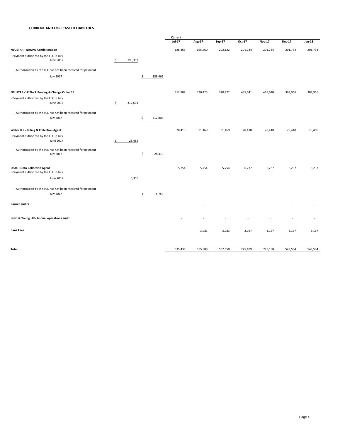#### **CURRENT AND FORECASTED LIABILITIES**

|                                                                                |               |               | Current  |         |         |         |               |         |         |  |
|--------------------------------------------------------------------------------|---------------|---------------|----------|---------|---------|---------|---------------|---------|---------|--|
|                                                                                |               |               | $Jul-17$ | Aug-17  | Sep-17  | Oct-17  | <b>Nov-17</b> | Dec-17  | Jan-18  |  |
| <b>NEUSTAR - NANPA Administration</b>                                          |               |               | 188,465  | 195,560 | 202,122 | 201,734 | 201,734       | 201,734 | 201,734 |  |
| - Payment authorized by the FCC in July                                        |               |               |          |         |         |         |               |         |         |  |
| June 2017                                                                      | \$<br>190,353 |               |          |         |         |         |               |         |         |  |
| - Authorization by the FCC has not been received for payment                   |               |               |          |         |         |         |               |         |         |  |
| <b>July 2017</b>                                                               |               | 188,465<br>\$ |          |         |         |         |               |         |         |  |
| NEUSTAR -1K Block Pooling & Change Order 3B                                    |               |               | 312,807  | 320,423 | 320,422 | 485,641 | 485,640       | 309,956 | 309,956 |  |
| - Payment authorized by the FCC in July                                        |               |               |          |         |         |         |               |         |         |  |
| June 2017                                                                      | \$<br>312,601 |               |          |         |         |         |               |         |         |  |
| - Authorization by the FCC has not been received for payment                   |               |               |          |         |         |         |               |         |         |  |
| <b>July 2017</b>                                                               |               | 312,807<br>\$ |          |         |         |         |               |         |         |  |
| Welch LLP - Billing & Collection Agent                                         |               |               | 28,410   | 31,169  | 31,169  | 28,410  | 28,410        | 28,410  | 28,410  |  |
| - Payment authorized by the FCC in July                                        |               |               |          |         |         |         |               |         |         |  |
| June 2017                                                                      | \$<br>28,484  |               |          |         |         |         |               |         |         |  |
| - Authorization by the FCC has not been received for payment                   |               |               |          |         |         |         |               |         |         |  |
| <b>July 2017</b>                                                               |               | \$<br>28,410  |          |         |         |         |               |         |         |  |
| <b>USAC - Data Collection Agent</b><br>- Payment authorized by the FCC in July |               |               | 5,754    | 5,754   | 5,754   | 6,237   | 6,237         | 6,237   | 6,237   |  |
| June 2017                                                                      | 6,355         |               |          |         |         |         |               |         |         |  |
| - Authorization by the FCC has not been received for payment                   |               |               |          |         |         |         |               |         |         |  |
| <b>July 2017</b>                                                               |               | \$<br>5,754   |          |         |         |         |               |         |         |  |
| <b>Carrier audits</b>                                                          |               |               |          |         |         |         |               |         |         |  |
| Ernst & Young LLP- Annual operations audit                                     |               |               |          |         |         |         |               |         |         |  |
| <b>Bank Fees</b>                                                               |               |               |          | 3,083   | 3,083   | 3,167   | 3,167         | 3,167   | 3,167   |  |
|                                                                                |               |               |          |         |         |         |               |         |         |  |
| Total                                                                          |               |               | 535,436  | 555,989 | 562,550 | 725,189 | 725,188       | 549,504 | 549,504 |  |